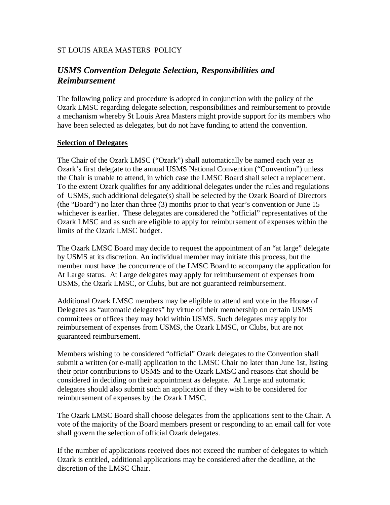## ST LOUIS AREA MASTERS POLICY

# *USMS Convention Delegate Selection, Responsibilities and Reimbursement*

The following policy and procedure is adopted in conjunction with the policy of the Ozark LMSC regarding delegate selection, responsibilities and reimbursement to provide a mechanism whereby St Louis Area Masters might provide support for its members who have been selected as delegates, but do not have funding to attend the convention.

#### **Selection of Delegates**

The Chair of the Ozark LMSC ("Ozark") shall automatically be named each year as Ozark's first delegate to the annual USMS National Convention ("Convention") unless the Chair is unable to attend, in which case the LMSC Board shall select a replacement. To the extent Ozark qualifies for any additional delegates under the rules and regulations of USMS, such additional delegate(s) shall be selected by the Ozark Board of Directors (the "Board") no later than three (3) months prior to that year's convention or June 15 whichever is earlier. These delegates are considered the "official" representatives of the Ozark LMSC and as such are eligible to apply for reimbursement of expenses within the limits of the Ozark LMSC budget.

The Ozark LMSC Board may decide to request the appointment of an "at large" delegate by USMS at its discretion. An individual member may initiate this process, but the member must have the concurrence of the LMSC Board to accompany the application for At Large status. At Large delegates may apply for reimbursement of expenses from USMS, the Ozark LMSC, or Clubs, but are not guaranteed reimbursement.

Additional Ozark LMSC members may be eligible to attend and vote in the House of Delegates as "automatic delegates" by virtue of their membership on certain USMS committees or offices they may hold within USMS. Such delegates may apply for reimbursement of expenses from USMS, the Ozark LMSC, or Clubs, but are not guaranteed reimbursement.

Members wishing to be considered "official" Ozark delegates to the Convention shall submit a written (or e-mail) application to the LMSC Chair no later than June 1st, listing their prior contributions to USMS and to the Ozark LMSC and reasons that should be considered in deciding on their appointment as delegate. At Large and automatic delegates should also submit such an application if they wish to be considered for reimbursement of expenses by the Ozark LMSC.

The Ozark LMSC Board shall choose delegates from the applications sent to the Chair. A vote of the majority of the Board members present or responding to an email call for vote shall govern the selection of official Ozark delegates.

If the number of applications received does not exceed the number of delegates to which Ozark is entitled, additional applications may be considered after the deadline, at the discretion of the LMSC Chair.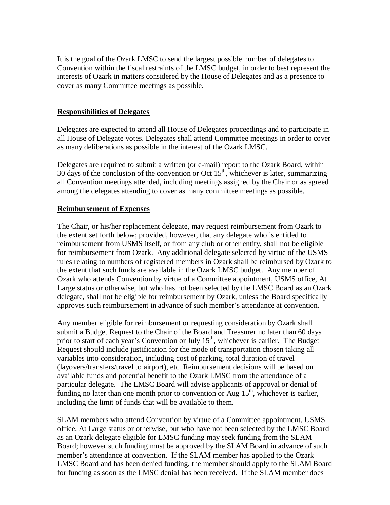It is the goal of the Ozark LMSC to send the largest possible number of delegates to Convention within the fiscal restraints of the LMSC budget, in order to best represent the interests of Ozark in matters considered by the House of Delegates and as a presence to cover as many Committee meetings as possible.

#### **Responsibilities of Delegates**

Delegates are expected to attend all House of Delegates proceedings and to participate in all House of Delegate votes. Delegates shall attend Committee meetings in order to cover as many deliberations as possible in the interest of the Ozark LMSC.

Delegates are required to submit a written (or e-mail) report to the Ozark Board, within 30 days of the conclusion of the convention or Oct  $15<sup>th</sup>$ , whichever is later, summarizing all Convention meetings attended, including meetings assigned by the Chair or as agreed among the delegates attending to cover as many committee meetings as possible.

### **Reimbursement of Expenses**

The Chair, or his/her replacement delegate, may request reimbursement from Ozark to the extent set forth below; provided, however, that any delegate who is entitled to reimbursement from USMS itself, or from any club or other entity, shall not be eligible for reimbursement from Ozark. Any additional delegate selected by virtue of the USMS rules relating to numbers of registered members in Ozark shall be reimbursed by Ozark to the extent that such funds are available in the Ozark LMSC budget. Any member of Ozark who attends Convention by virtue of a Committee appointment, USMS office, At Large status or otherwise, but who has not been selected by the LMSC Board as an Ozark delegate, shall not be eligible for reimbursement by Ozark, unless the Board specifically approves such reimbursement in advance of such member's attendance at convention.

Any member eligible for reimbursement or requesting consideration by Ozark shall submit a Budget Request to the Chair of the Board and Treasurer no later than 60 days prior to start of each year's Convention or July  $15<sup>th</sup>$ , whichever is earlier. The Budget Request should include justification for the mode of transportation chosen taking all variables into consideration, including cost of parking, total duration of travel (layovers/transfers/travel to airport), etc. Reimbursement decisions will be based on available funds and potential benefit to the Ozark LMSC from the attendance of a particular delegate. The LMSC Board will advise applicants of approval or denial of funding no later than one month prior to convention or Aug  $15<sup>th</sup>$ , whichever is earlier, including the limit of funds that will be available to them.

SLAM members who attend Convention by virtue of a Committee appointment, USMS office, At Large status or otherwise, but who have not been selected by the LMSC Board as an Ozark delegate eligible for LMSC funding may seek funding from the SLAM Board; however such funding must be approved by the SLAM Board in advance of such member's attendance at convention. If the SLAM member has applied to the Ozark LMSC Board and has been denied funding, the member should apply to the SLAM Board for funding as soon as the LMSC denial has been received. If the SLAM member does